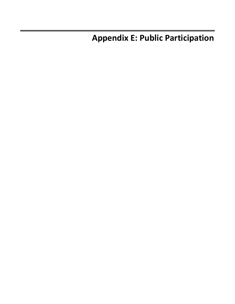**Appendix E: Public Participation**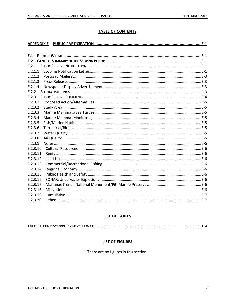# **TABLE OF CONTENTS**

| F.1             |  |
|-----------------|--|
| F. <sub>2</sub> |  |
| F.2.1           |  |
| F.2.1.1         |  |
| F.2.1.2         |  |
| F.2.1.3         |  |
| F.2.1.4         |  |
| F.2.2           |  |
| F.2.3           |  |
| F.2.3.1         |  |
| E.2.3.2         |  |
| F.2.3.3         |  |
| F.2.3.4         |  |
| F.2.3.5         |  |
| E.2.3.6         |  |
| E.2.3.7         |  |
| F.2.3.8         |  |
| F.2.3.9         |  |
| E.2.3.10        |  |
| E.2.3.11        |  |
| E.2.3.12        |  |
| E.2.3.13        |  |
| E.2.3.14        |  |
| E.2.3.15        |  |
| E.2.3.16        |  |
| E.2.3.17        |  |
| E.2.3.18        |  |
| E.2.3.19        |  |
| E.2.3.20        |  |

#### **LIST OF TABLES**

|--|

#### **LIST OF FIGURES**

There are no figures in this section.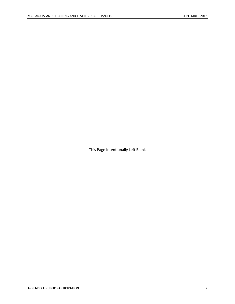This Page Intentionally Left Blank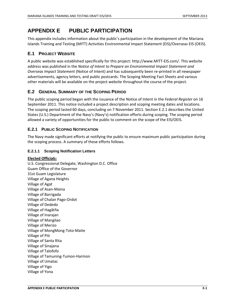# <span id="page-4-0"></span>**APPENDIX E PUBLIC PARTICIPATION**

This appendix includes information about the public's participation in the development of the Mariana Islands Training and Testing (MITT) Activities Environmental Impact Statement (EIS)/Overseas EIS (OEIS).

# <span id="page-4-1"></span>**E.1 PROJECT WEBSITE**

A public website was established specifically for this project: http://www.MITT-EIS.com/. This website address was published in the *Notice of Intent to Prepare an Environmental Impact Statement and Overseas Impact Statement* (Notice of Intent) and has subsequently been re-printed in all newspaper advertisements, agency letters, and public postcards. The Scoping Meeting Fact Sheets and various other materials will be available on the project website throughout the course of the project.

# <span id="page-4-2"></span>**E.2 GENERAL SUMMARY OF THE SCOPING PERIOD**

The public scoping period began with the issuance of the Notice of Intent in the *Federal Register* on 16 September 2011. This notice included a project description and scoping meeting dates and locations. The scoping period lasted 60 days, concluding on 7 November 2011. Section [E.2.1](#page-4-3) describes the United States (U.S.) Department of the Navy's (Navy's) notification efforts during scoping. The scoping period allowed a variety of opportunities for the public to comment on the scope of the EIS/OEIS.

# <span id="page-4-3"></span>**E.2.1 PUBLIC SCOPING NOTIFICATION**

The Navy made significant efforts at notifying the public to ensure maximum public participation during the scoping process. A summary of these efforts follows.

# <span id="page-4-4"></span>**E.2.1.1 Scoping Notification Letters**

#### **Elected Officials:**

U.S. Congressional Delegate, Washington D.C. Office Guam Office of the Governor 31st Guam Legislature Village of Agana Heights Village of Agat Village of Asan-Maina Village of Barrigada Village of Chalan Pago-Ordot Village of Dededo Village of Hagåtña Village of Inarajan Village of Mangilao Village of Merizo Village of MongMong-Toto-Maite Village of Piti Village of Santa Rita Village of Sinajana Village of Talofofo Village of Tamuning-Tumon-Harmon Village of Umatac Village of Yigo Village of Yona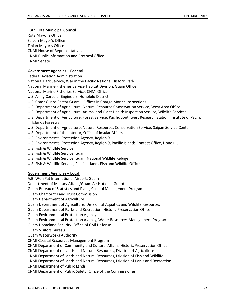13th Rota Municipal Council Rota Mayor's Office Saipan Mayor's Office Tinian Mayor's Office CNMI House of Representatives CNMI Public Information and Protocol Office CNMI Senate

#### **Government Agencies – Federal:**

Federal Aviation Administration

National Park Service, War in the Pacific National Historic Park

National Marine Fisheries Service Habitat Division, Guam Office

National Marine Fisheries Service, CNMI Office

- U.S. Army Corps of Engineers, Honolulu District
- U.S. Coast Guard Sector Guam Officer in Charge Marine Inspections
- U.S. Department of Agriculture, Natural Resource Conservation Service, West Area Office
- U.S. Department of Agriculture, Animal and Plant Health Inspection Service, Wildlife Services
- U.S. Department of Agriculture, Forest Service, Pacific Southwest Research Station, Institute of Pacific Islands Forestry
- U.S. Department of Agriculture, Natural Resources Conservation Service, Saipan Service Center
- U.S. Department of the Interior, Office of Insular Affairs
- U.S. Environmental Protection Agency, Region 9
- U.S. Environmental Protection Agency, Region 9, Pacific Islands Contact Office, Honolulu
- U.S. Fish & Wildlife Service
- U.S. Fish & Wildlife Service, Guam
- U.S. Fish & Wildlife Service, Guam National Wildlife Refuge
- U.S. Fish & Wildlife Service, Pacific Islands Fish and Wildlife Office

#### **Government Agencies – Local:**

A.B. Won Pat International Airport, Guam Department of Military Affairs/Guam Air National Guard

Guam Bureau of Statistics and Plans, Coastal Management Program

Guam Chamorro Land Trust Commission

- Guam Department of Agriculture
- Guam Department of Agriculture, Division of Aquatics and Wildlife Resources
- Guam Department of Parks and Recreation, Historic Preservation Office
- Guam Environmental Protection Agency
- Guam Environmental Protection Agency, Water Resources Management Program
- Guam Homeland Security, Office of Civil Defense

Guam Visitors Bureau

Guam Waterworks Authority

CNMI Coastal Resources Management Program

CNMI Department of Community and Cultural Affairs, Historic Preservation Office

CNMI Department of Lands and Natural Resources, Division of Agriculture

CNMI Department of Lands and Natural Resources, Division of Fish and Wildlife

CNMI Department of Lands and Natural Resources, Division of Parks and Recreation CNMI Department of Public Lands

CNMI Department of Public Safety, Office of the Commissioner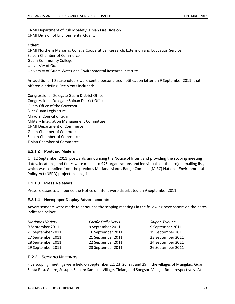CNMI Department of Public Safety, Tinian Fire Division CNMI Division of Environmental Quality

#### **Other:**

CNMI Northern Marianas College Cooperative, Research, Extension and Education Service Saipan Chamber of Commerce Guam Community College University of Guam University of Guam Water and Environmental Research Institute

An additional 10 stakeholders were sent a personalized notification letter on 9 September 2011, that offered a briefing. Recipients included:

Congressional Delegate Guam District Office Congressional Delegate Saipan District Office Guam Office of the Governor 31st Guam Legislature Mayors' Council of Guam Military Integration Management Committee CNMI Department of Commerce Guam Chamber of Commerce Saipan Chamber of Commerce Tinian Chamber of Commerce

#### <span id="page-6-0"></span>**E.2.1.2 Postcard Mailers**

On 12 September 2011, postcards announcing the Notice of Intent and providing the scoping meeting dates, locations, and times were mailed to 475 organizations and individuals on the project mailing list, which was compiled from the previous Mariana Islands Range Complex (MIRC) National Environmental Policy Act (NEPA) project mailing lists.

#### <span id="page-6-1"></span>**E.2.1.3 Press Releases**

Press releases to announce the Notice of Intent were distributed on 9 September 2011.

#### <span id="page-6-2"></span>**E.2.1.4 Newspaper Display Advertisements**

Advertisements were made to announce the scoping meetings in the following newspapers on the dates indicated below:

| <b>Pacific Daily News</b> | Saipan Tribune    |
|---------------------------|-------------------|
| 9 September 2011          | 9 September 2011  |
| 16 September 2011         | 19 September 2011 |
| 21 September 2011         | 23 September 2011 |
| 22 September 2011         | 24 September 2011 |
| 23 September 2011         | 26 September 2011 |
|                           |                   |

#### <span id="page-6-3"></span>**E.2.2 SCOPING MEETINGS**

Five scoping meetings were held on September 22, 23, 26, 27, and 29 in the villages of Mangilao, Guam; Santa Rita, Guam; Susupe, Saipan; San Jose Village, Tinian; and Songson Village, Rota, respectively. At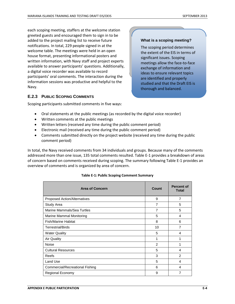each scoping meeting, staffers at the welcome station greeted guests and encouraged them to sign in to be added to the project mailing list to receive future notifications. In total, 229 people signed in at the welcome table. The meetings were held in an open house format, presenting informational posters and written information, with Navy staff and project experts available to answer participants' questions. Additionally, a digital voice recorder was available to record participants' oral comments. The interaction during the information sessions was productive and helpful to the Navy.

### <span id="page-7-0"></span>**E.2.3 PUBLIC SCOPING COMMENTS**

Scoping participants submitted comments in five ways:

#### **What is a scoping meeting?**

The scoping period determines the extent of the EIS in terms of significant issues. Scoping meetings allow the face-to-face exchange of information and ideas to ensure relevant topics are identified and properly studied and that the Draft EIS is thorough and balanced.

- Oral statements at the public meetings (as recorded by the digital voice recorder)
- Written comments at the public meetings
- Written letters (received any time during the public comment period)
- Electronic mail (received any time during the public comment period)
- Comments submitted directly on the project website (received any time during the public comment period)

In total, the Navy received comments from 34 individuals and groups. Because many of the comments addressed more than one issue, 135 total comments resulted. Table E-1 provides a breakdown of areas of concern based on comments received during scoping. The summary following Table E-1 provides an overview of comments and is organized by area of concern.

<span id="page-7-1"></span>

| <b>Area of Concern</b>          | Count          | <b>Percent of</b><br><b>Total</b> |
|---------------------------------|----------------|-----------------------------------|
| Proposed Action/Alternatives    | 9              | $\overline{7}$                    |
| Study Area                      | $\overline{7}$ | 5                                 |
| Marine Mammals/Sea Turtles      | $\overline{7}$ | 5                                 |
| Marine Mammal Monitoring        | 5              | 4                                 |
| <b>Fish/Marine Habitat</b>      | 8              | 6                                 |
| <b>Terrestrial/Birds</b>        | 10             | 7                                 |
| <b>Water Quality</b>            | 5              | 4                                 |
| <b>Air Quality</b>              | 1              | 1                                 |
| Noise                           | $\overline{2}$ |                                   |
| <b>Cultural Resources</b>       | 5              | 4                                 |
| Reefs                           | 3              | 2                                 |
| Land Use                        | 5              | 4                                 |
| Commercial/Recreational Fishing | 6              | 4                                 |
| Regional Economy                | 9              | 7                                 |

#### **Table E-1: Public Scoping Comment Summary**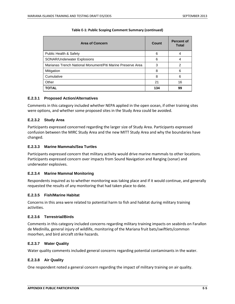| <b>Area of Concern</b>                                      | Count | <b>Percent of</b><br><b>Total</b> |
|-------------------------------------------------------------|-------|-----------------------------------|
| Public Health & Safety                                      | 6     | 4                                 |
| <b>SONAR/Underwater Explosions</b>                          | 6     | 4                                 |
| Marianas Trench National Monument/Piti Marine Preserve Area | 3     | 2                                 |
| Mitigation                                                  | 8     | 6                                 |
| Cumulative                                                  | 8     | 6                                 |
| Other                                                       | 21    | 16                                |
| <b>TOTAL</b>                                                | 134   | 99                                |

#### **Table E-1: Public Scoping Comment Summary (continued)**

#### <span id="page-8-0"></span>**E.2.3.1 Proposed Action/Alternatives**

Comments in this category included whether NEPA applied in the open ocean, if other training sites were options, and whether some proposed sites in the Study Area could be avoided.

#### <span id="page-8-1"></span>**E.2.3.2 Study Area**

Participants expressed concerned regarding the larger size of Study Area. Participants expressed confusion between the MIRC Study Area and the new MITT Study Area and why the boundaries have changed.

#### <span id="page-8-2"></span>**E.2.3.3 Marine Mammals/Sea Turtles**

Participants expressed concern that military activity would drive marine mammals to other locations. Participants expressed concern over impacts from Sound Navigation and Ranging (sonar) and underwater explosives.

#### <span id="page-8-3"></span>**E.2.3.4 Marine Mammal Monitoring**

Respondents inquired as to whether monitoring was taking place and if it would continue, and generally requested the results of any monitoring that had taken place to date.

#### <span id="page-8-4"></span>**E.2.3.5 Fish/Marine Habitat**

Concerns in this area were related to potential harm to fish and habitat during military training activities.

#### <span id="page-8-5"></span>**E.2.3.6 Terrestrial/Birds**

Comments in this category included concerns regarding military training impacts on seabirds on Farallon de Medinilla, general injury of wildlife, monitoring of the Mariana fruit bats/swiftlets/common moorhen, and bird aircraft strike hazards.

#### <span id="page-8-6"></span>**E.2.3.7 Water Quality**

Water quality comments included general concerns regarding potential contaminants in the water.

#### <span id="page-8-7"></span>**E.2.3.8 Air Quality**

One respondent noted a general concern regarding the impact of military training on air quality.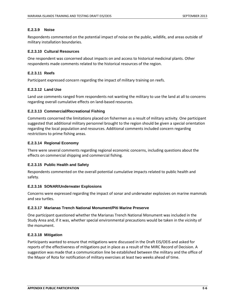#### <span id="page-9-0"></span>**E.2.3.9 Noise**

Respondents commented on the potential impact of noise on the public, wildlife, and areas outside of military installation boundaries.

#### <span id="page-9-1"></span>**E.2.3.10 Cultural Resources**

One respondent was concerned about impacts on and access to historical medicinal plants. Other respondents made comments related to the historical resources of the region.

#### <span id="page-9-2"></span>**E.2.3.11 Reefs**

Participant expressed concern regarding the impact of military training on reefs.

#### <span id="page-9-3"></span>**E.2.3.12 Land Use**

Land use comments ranged from respondents not wanting the military to use the land at all to concerns regarding overall cumulative effects on land-based resources.

#### <span id="page-9-4"></span>**E.2.3.13 Commercial/Recreational Fishing**

Comments concerned the limitations placed on fishermen as a result of military activity. One participant suggested that additional military personnel brought to the region should be given a special orientation regarding the local population and resources. Additional comments included concern regarding restrictions to prime fishing areas.

#### <span id="page-9-5"></span>**E.2.3.14 Regional Economy**

There were several comments regarding regional economic concerns, including questions about the effects on commercial shipping and commercial fishing.

#### <span id="page-9-6"></span>**E.2.3.15 Public Health and Safety**

Respondents commented on the overall potential cumulative impacts related to public health and safety.

#### <span id="page-9-7"></span>**E.2.3.16 SONAR/Underwater Explosions**

Concerns were expressed regarding the impact of sonar and underwater explosives on marine mammals and sea turtles.

#### <span id="page-9-8"></span>**E.2.3.17 Marianas Trench National Monument/Piti Marine Preserve**

One participant questioned whether the Marianas Trench National Monument was included in the Study Area and, if it was, whether special environmental precautions would be taken in the vicinity of the monument.

#### <span id="page-9-9"></span>**E.2.3.18 Mitigation**

Participants wanted to ensure that mitigations were discussed in the Draft EIS/OEIS and asked for reports of the effectiveness of mitigations put in place as a result of the MIRC Record of Decision. A suggestion was made that a communication line be established between the military and the office of the Mayor of Rota for notification of military exercises at least two weeks ahead of time.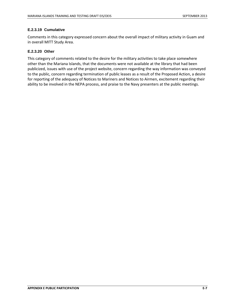#### <span id="page-10-0"></span>**E.2.3.19 Cumulative**

Comments in this category expressed concern about the overall impact of military activity in Guam and in overall MITT Study Area.

### <span id="page-10-1"></span>**E.2.3.20 Other**

This category of comments related to the desire for the military activities to take place somewhere other than the Mariana Islands, that the documents were not available at the library that had been publicized, issues with use of the project website, concern regarding the way information was conveyed to the public, concern regarding termination of public leases as a result of the Proposed Action, a desire for reporting of the adequacy of Notices to Mariners and Notices to Airmen, excitement regarding their ability to be involved in the NEPA process, and praise to the Navy presenters at the public meetings.